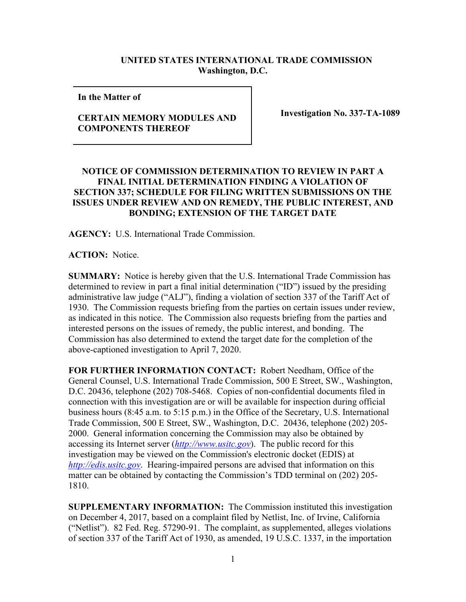## **UNITED STATES INTERNATIONAL TRADE COMMISSION Washington, D.C.**

**In the Matter of** 

## **CERTAIN MEMORY MODULES AND COMPONENTS THEREOF**

**Investigation No. 337-TA-1089**

## **NOTICE OF COMMISSION DETERMINATION TO REVIEW IN PART A FINAL INITIAL DETERMINATION FINDING A VIOLATION OF SECTION 337; SCHEDULE FOR FILING WRITTEN SUBMISSIONS ON THE ISSUES UNDER REVIEW AND ON REMEDY, THE PUBLIC INTEREST, AND BONDING; EXTENSION OF THE TARGET DATE**

**AGENCY:** U.S. International Trade Commission.

**ACTION:** Notice.

**SUMMARY:** Notice is hereby given that the U.S. International Trade Commission has determined to review in part a final initial determination ("ID") issued by the presiding administrative law judge ("ALJ"), finding a violation of section 337 of the Tariff Act of 1930. The Commission requests briefing from the parties on certain issues under review, as indicated in this notice. The Commission also requests briefing from the parties and interested persons on the issues of remedy, the public interest, and bonding. The Commission has also determined to extend the target date for the completion of the above-captioned investigation to April 7, 2020.

**FOR FURTHER INFORMATION CONTACT:** Robert Needham, Office of the General Counsel, U.S. International Trade Commission, 500 E Street, SW., Washington, D.C. 20436, telephone (202) 708-5468. Copies of non-confidential documents filed in connection with this investigation are or will be available for inspection during official business hours (8:45 a.m. to 5:15 p.m.) in the Office of the Secretary, U.S. International Trade Commission, 500 E Street, SW., Washington, D.C. 20436, telephone (202) 205- 2000. General information concerning the Commission may also be obtained by accessing its Internet server (*[http://www.usitc.gov](http://www.usitc.gov/)*). The public record for this investigation may be viewed on the Commission's electronic docket (EDIS) at *[http://edis.usitc.gov](http://edis.usitc.gov/)*. Hearing-impaired persons are advised that information on this matter can be obtained by contacting the Commission's TDD terminal on (202) 205- 1810.

**SUPPLEMENTARY INFORMATION:** The Commission instituted this investigation on December 4, 2017, based on a complaint filed by Netlist, Inc. of Irvine, California ("Netlist"). 82 Fed. Reg. 57290-91. The complaint, as supplemented, alleges violations of section 337 of the Tariff Act of 1930, as amended, 19 U.S.C. 1337, in the importation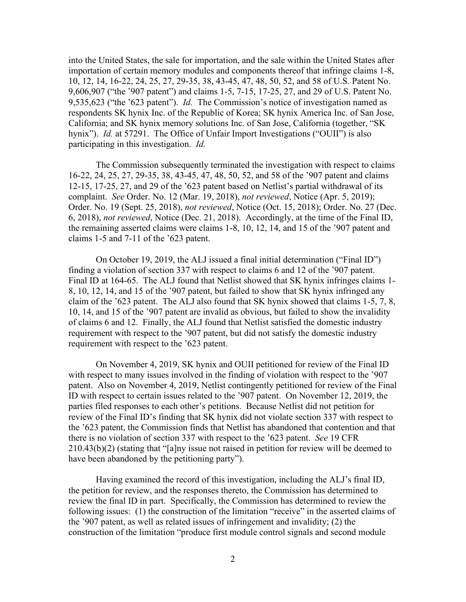into the United States, the sale for importation, and the sale within the United States after importation of certain memory modules and components thereof that infringe claims 1-8, 10, 12, 14, 16-22, 24, 25, 27, 29-35, 38, 43-45, 47, 48, 50, 52, and 58 of U.S. Patent No. 9,606,907 ("the '907 patent") and claims 1-5, 7-15, 17-25, 27, and 29 of U.S. Patent No. 9,535,623 ("the '623 patent"). *Id.* The Commission's notice of investigation named as respondents SK hynix Inc. of the Republic of Korea; SK hynix America Inc. of San Jose, California; and SK hynix memory solutions Inc. of San Jose, California (together, "SK hynix"). *Id.* at 57291. The Office of Unfair Import Investigations ("OUII") is also participating in this investigation. *Id.*

The Commission subsequently terminated the investigation with respect to claims 16-22, 24, 25, 27, 29-35, 38, 43-45, 47, 48, 50, 52, and 58 of the '907 patent and claims 12-15, 17-25, 27, and 29 of the '623 patent based on Netlist's partial withdrawal of its complaint. *See* Order. No. 12 (Mar. 19, 2018), *not reviewed*, Notice (Apr. 5, 2019); Order. No. 19 (Sept. 25, 2018), *not reviewed*, Notice (Oct. 15, 2018); Order. No. 27 (Dec. 6, 2018), *not reviewed*, Notice (Dec. 21, 2018). Accordingly, at the time of the Final ID, the remaining asserted claims were claims 1-8, 10, 12, 14, and 15 of the '907 patent and claims 1-5 and 7-11 of the '623 patent.

On October 19, 2019, the ALJ issued a final initial determination ("Final ID") finding a violation of section 337 with respect to claims 6 and 12 of the '907 patent. Final ID at 164-65. The ALJ found that Netlist showed that SK hynix infringes claims 1- 8, 10, 12, 14, and 15 of the '907 patent, but failed to show that SK hynix infringed any claim of the '623 patent. The ALJ also found that SK hynix showed that claims 1-5, 7, 8, 10, 14, and 15 of the '907 patent are invalid as obvious, but failed to show the invalidity of claims 6 and 12. Finally, the ALJ found that Netlist satisfied the domestic industry requirement with respect to the '907 patent, but did not satisfy the domestic industry requirement with respect to the '623 patent.

On November 4, 2019, SK hynix and OUII petitioned for review of the Final ID with respect to many issues involved in the finding of violation with respect to the '907 patent. Also on November 4, 2019, Netlist contingently petitioned for review of the Final ID with respect to certain issues related to the '907 patent. On November 12, 2019, the parties filed responses to each other's petitions. Because Netlist did not petition for review of the Final ID's finding that SK hynix did not violate section 337 with respect to the '623 patent, the Commission finds that Netlist has abandoned that contention and that there is no violation of section 337 with respect to the '623 patent. *See* 19 CFR 210.43(b)(2) (stating that "[a]ny issue not raised in petition for review will be deemed to have been abandoned by the petitioning party").

Having examined the record of this investigation, including the ALJ's final ID, the petition for review, and the responses thereto, the Commission has determined to review the final ID in part. Specifically, the Commission has determined to review the following issues: (1) the construction of the limitation "receive" in the asserted claims of the '907 patent, as well as related issues of infringement and invalidity; (2) the construction of the limitation "produce first module control signals and second module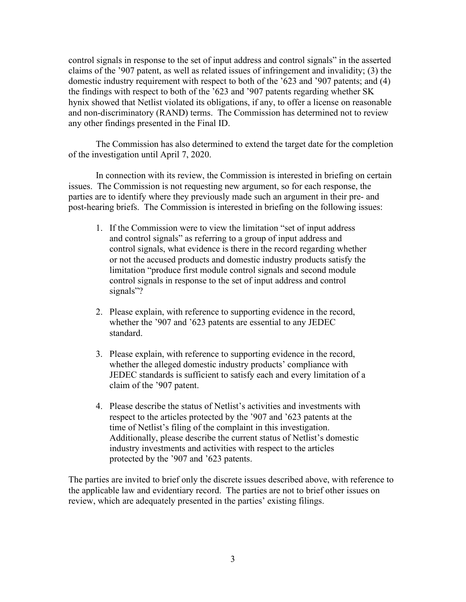control signals in response to the set of input address and control signals" in the asserted claims of the '907 patent, as well as related issues of infringement and invalidity; (3) the domestic industry requirement with respect to both of the '623 and '907 patents; and (4) the findings with respect to both of the '623 and '907 patents regarding whether SK hynix showed that Netlist violated its obligations, if any, to offer a license on reasonable and non-discriminatory (RAND) terms. The Commission has determined not to review any other findings presented in the Final ID.

The Commission has also determined to extend the target date for the completion of the investigation until April 7, 2020.

In connection with its review, the Commission is interested in briefing on certain issues. The Commission is not requesting new argument, so for each response, the parties are to identify where they previously made such an argument in their pre- and post-hearing briefs. The Commission is interested in briefing on the following issues:

- 1. If the Commission were to view the limitation "set of input address and control signals" as referring to a group of input address and control signals, what evidence is there in the record regarding whether or not the accused products and domestic industry products satisfy the limitation "produce first module control signals and second module control signals in response to the set of input address and control signals"?
- 2. Please explain, with reference to supporting evidence in the record, whether the '907 and '623 patents are essential to any JEDEC standard.
- 3. Please explain, with reference to supporting evidence in the record, whether the alleged domestic industry products' compliance with JEDEC standards is sufficient to satisfy each and every limitation of a claim of the '907 patent.
- 4. Please describe the status of Netlist's activities and investments with respect to the articles protected by the '907 and '623 patents at the time of Netlist's filing of the complaint in this investigation. Additionally, please describe the current status of Netlist's domestic industry investments and activities with respect to the articles protected by the '907 and '623 patents.

The parties are invited to brief only the discrete issues described above, with reference to the applicable law and evidentiary record. The parties are not to brief other issues on review, which are adequately presented in the parties' existing filings.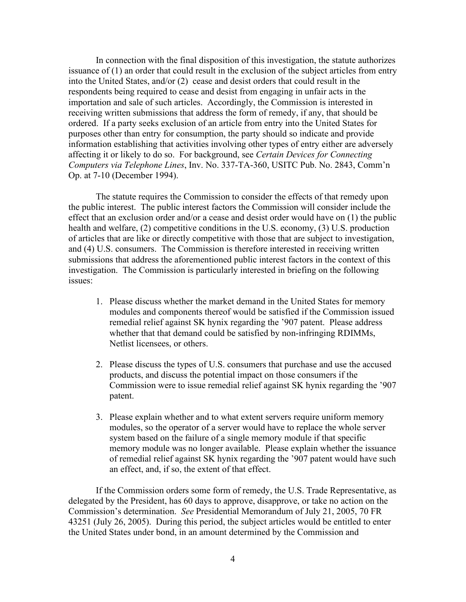In connection with the final disposition of this investigation, the statute authorizes issuance of (1) an order that could result in the exclusion of the subject articles from entry into the United States, and/or (2) cease and desist orders that could result in the respondents being required to cease and desist from engaging in unfair acts in the importation and sale of such articles. Accordingly, the Commission is interested in receiving written submissions that address the form of remedy, if any, that should be ordered. If a party seeks exclusion of an article from entry into the United States for purposes other than entry for consumption, the party should so indicate and provide information establishing that activities involving other types of entry either are adversely affecting it or likely to do so. For background, see *Certain Devices for Connecting Computers via Telephone Lines*, Inv. No. 337-TA-360, USITC Pub. No. 2843, Comm'n Op. at 7-10 (December 1994).

The statute requires the Commission to consider the effects of that remedy upon the public interest. The public interest factors the Commission will consider include the effect that an exclusion order and/or a cease and desist order would have on (1) the public health and welfare, (2) competitive conditions in the U.S. economy, (3) U.S. production of articles that are like or directly competitive with those that are subject to investigation, and (4) U.S. consumers. The Commission is therefore interested in receiving written submissions that address the aforementioned public interest factors in the context of this investigation. The Commission is particularly interested in briefing on the following issues:

- 1. Please discuss whether the market demand in the United States for memory modules and components thereof would be satisfied if the Commission issued remedial relief against SK hynix regarding the '907 patent. Please address whether that that demand could be satisfied by non-infringing RDIMMs, Netlist licensees, or others.
- 2. Please discuss the types of U.S. consumers that purchase and use the accused products, and discuss the potential impact on those consumers if the Commission were to issue remedial relief against SK hynix regarding the '907 patent.
- 3. Please explain whether and to what extent servers require uniform memory modules, so the operator of a server would have to replace the whole server system based on the failure of a single memory module if that specific memory module was no longer available. Please explain whether the issuance of remedial relief against SK hynix regarding the '907 patent would have such an effect, and, if so, the extent of that effect.

If the Commission orders some form of remedy, the U.S. Trade Representative, as delegated by the President, has 60 days to approve, disapprove, or take no action on the Commission's determination. *See* Presidential Memorandum of July 21, 2005, 70 FR 43251 (July 26, 2005). During this period, the subject articles would be entitled to enter the United States under bond, in an amount determined by the Commission and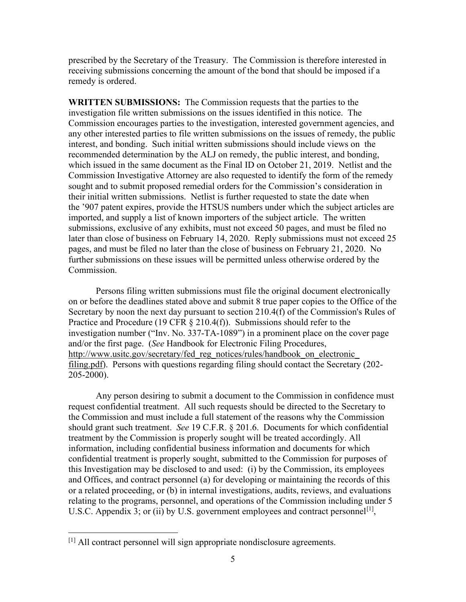prescribed by the Secretary of the Treasury. The Commission is therefore interested in receiving submissions concerning the amount of the bond that should be imposed if a remedy is ordered.

**WRITTEN SUBMISSIONS:** The Commission requests that the parties to the investigation file written submissions on the issues identified in this notice. The Commission encourages parties to the investigation, interested government agencies, and any other interested parties to file written submissions on the issues of remedy, the public interest, and bonding. Such initial written submissions should include views on the recommended determination by the ALJ on remedy, the public interest, and bonding, which issued in the same document as the Final ID on October 21, 2019. Netlist and the Commission Investigative Attorney are also requested to identify the form of the remedy sought and to submit proposed remedial orders for the Commission's consideration in their initial written submissions. Netlist is further requested to state the date when the '907 patent expires, provide the HTSUS numbers under which the subject articles are imported, and supply a list of known importers of the subject article. The written submissions, exclusive of any exhibits, must not exceed 50 pages, and must be filed no later than close of business on February 14, 2020. Reply submissions must not exceed 25 pages, and must be filed no later than the close of business on February 21, 2020. No further submissions on these issues will be permitted unless otherwise ordered by the Commission.

Persons filing written submissions must file the original document electronically on or before the deadlines stated above and submit 8 true paper copies to the Office of the Secretary by noon the next day pursuant to section 210.4(f) of the Commission's Rules of Practice and Procedure (19 CFR  $\S$  210.4(f)). Submissions should refer to the investigation number ("Inv. No. 337-TA-1089") in a prominent place on the cover page and/or the first page. (*See* Handbook for Electronic Filing Procedures, http://www.usitc.gov/secretary/fed reg\_notices/rules/handbook\_on\_electronic filing.pdf). Persons with questions regarding filing should contact the Secretary (202- 205-2000).

Any person desiring to submit a document to the Commission in confidence must request confidential treatment. All such requests should be directed to the Secretary to the Commission and must include a full statement of the reasons why the Commission should grant such treatment. *See* 19 C.F.R. § 201.6. Documents for which confidential treatment by the Commission is properly sought will be treated accordingly. All information, including confidential business information and documents for which confidential treatment is properly sought, submitted to the Commission for purposes of this Investigation may be disclosed to and used: (i) by the Commission, its employees and Offices, and contract personnel (a) for developing or maintaining the records of this or a related proceeding, or (b) in internal investigations, audits, reviews, and evaluations relating to the programs, personnel, and operations of the Commission including under 5 U.S.C. Appendix 3; or (ii) by U.S. government employees and contract personnel<sup>[\[1\]](#page-4-0)</sup>,

<span id="page-4-0"></span> $<sup>[1]</sup>$  All contract personnel will sign appropriate nondisclosure agreements.</sup>